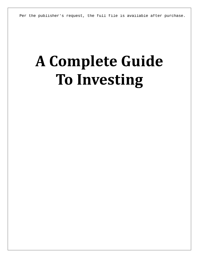Per the publisher's request, the full file is available after purchase.

# **A Complete Guide To Investing**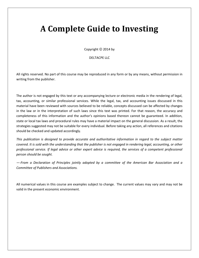## **A Complete Guide to Investing**

Copyright © 2014 by

#### DELTACPE LLC

All rights reserved. No part of this course may be reproduced in any form or by any means, without permission in writing from the publisher.

The author is not engaged by this text or any accompanying lecture or electronic media in the rendering of legal, tax, accounting, or similar professional services. While the legal, tax, and accounting issues discussed in this material have been reviewed with sources believed to be reliable, concepts discussed can be affected by changes in the law or in the interpretation of such laws since this text was printed. For that reason, the accuracy and completeness of this information and the author's opinions based thereon cannot be guaranteed. In addition, state or local tax laws and procedural rules may have a material impact on the general discussion. As a result, the strategies suggested may not be suitable for every individual. Before taking any action, all references and citations should be checked and updated accordingly.

*This publication is designed to provide accurate and authoritative information in regard to the subject matter covered. It is sold with the understanding that the publisher is not engaged in rendering legal, accounting, or other professional service. If legal advice or other expert advice is required, the services of a competent professional person should be sought.*

*—-From a Declaration of Principles jointly adopted by a committee of the American Bar Association and a Committee of Publishers and Associations.*

All numerical values in this course are examples subject to change. The current values may vary and may not be valid in the present economic environment.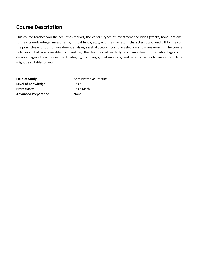### **Course Description**

This course teaches you the securities market, the various types of investment securities (stocks, bond, options, futures, tax-advantaged investments, mutual funds, etc.), and the risk-return characteristics of each. It focuses on the principles and tools of investment analysis, asset allocation, portfolio selection and management. The course tells you what are available to invest in, the features of each type of investment, the advantages and disadvantages of each investment category, including global investing, and when a particular investment type might be suitable for you.

**Level of Knowledge** Basic **Prerequisite** Basic Math **Advanced Preparation** None

**Field of Study Administrative Practice**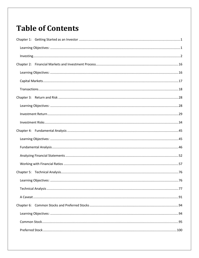## **Table of Contents**

| Chapter 6: |  |
|------------|--|
|            |  |
|            |  |
|            |  |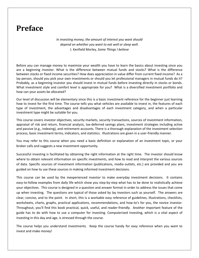## **Preface**

*In investing money, the amount of interest you want should depend on whether you want to eat well or sleep well.* J. Kenfield Morley, *Some Things I believe*

Before you can manage money to maximize your wealth you have to learn the basics about investing since you are a beginning investor. What is the difference between mutual funds and stocks? What is the difference between stocks or fixed income securities? How does appreciation in value differ from current fixed income? As a lay person, should you pick your own investments or should you let professional managers in mutual funds do it? Probably, as a beginning investor you should invest in mutual funds before investing directly in stocks or bonds. What investment style and comfort level is appropriate for you? What is a diversified investment portfolio and how can your assets be allocated?

Our level of discussion will be elementary since this is a basic investment reference for the beginner just learning how to invest for the first time. The course tells you what vehicles are available to invest in, the features of each type of investment, the advantages and disadvantages of each investment category, and when a particular investment type might be suitable for you.

This course covers investor objectives, security markets, security transactions, sources of investment information, appraisal of risk and return, financial analysis, tax-deferred savings plans, investment strategies including active and passive (e.g., indexing), and retirement accounts. There is a thorough explanation of the investment selection process, basic investment terms, indicators, and statistics. Illustrations are given in a user-friendly manner.

You may refer to this course when you need a basic definition or explanation of an investment topic, or your broker calls and suggests a new investment opportunity.

Successful investing is facilitated by obtaining the right information at the right time. The investor should know where to obtain relevant information on specific investments, and how to read and interpret the various sources of data. Specific sources of investment information (publications, media outlets, etc.) are provided and you are guided on how to use these sources in making informed investment decisions.

This course can be used by the inexperienced investor to make everyday investment decisions. It contains easy-to-follow examples from daily life which show you step-by-step what has to be done to realistically achieve your objectives. This course is designed in a question and answer format in order to address the issues that come up when investing. The questions are typical of those asked by lay investors such as yourself. The answers are clear, concise, and to the point. In short, this is a workable easy reference of guidelines, illustrations, checklists, worksheets, charts, graphs, practical applications, recommendations, and how-to's for you, the novice investor. Throughout, you'll find this book practical, quick, useful, and reader-friendly. Another important feature of the guide has to do with how to use a computer for investing. Computerized investing, which is a vital aspect of investing in this day and age, is stressed through the course.

The course helps you understand investments. Keep the course handy for easy reference when you want to invest and make money!